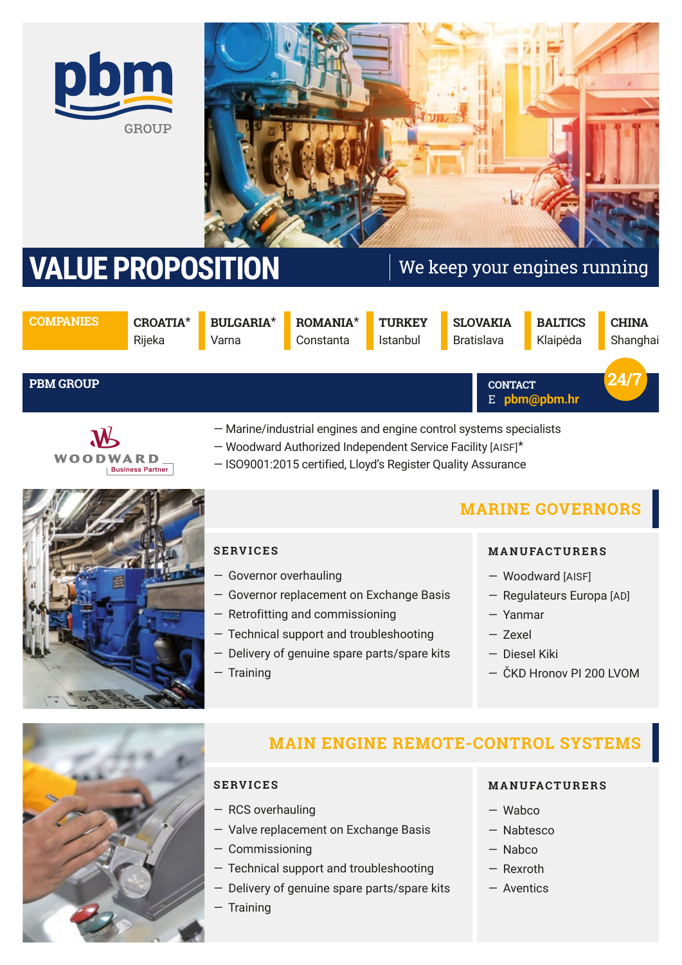



# **VALUE PROPOSITION** We keep your engines running

E **pbm@pbm.hr** 

**CONTACT**

**COMPANIES CROATIA**\* Rijeka

**BULGARIA**\* Varna

**ROMANIA**\* Constanta

**TURKEY** Istanbul

**SLOVAKIA** Bratislava

**BALTICS** Klaipėda **CHINA** Shanghai

**24/7** 

#### **PBM GROUP**



— Marine/industrial engines and engine control systems specialists

- Woodward Authorized Independent Service Facility [AISF]\*
- ISO9001:2015 certified, Lloyd's Register Quality Assurance



### **SERVICES**

- Governor overhauling
- Governor replacement on Exchange Basis
- Retrofitting and commissioning
- Technical support and troubleshooting
- Delivery of genuine spare parts/spare kits
- Training

# **MARINE GOVERNORS**

#### **M A N U FAC T U R E R S**

- Woodward [AISF]
- Regulateurs Europa [AD]
- Yanmar
- Zexel
- Diesel Kiki
- ČKD Hronov PI 200 LVOM



# **MAIN ENGINE REMOTE-CONTROL SYSTEMS**

#### **SERVICES**

- RCS overhauling
- Valve replacement on Exchange Basis
- Commissioning
- Technical support and troubleshooting
- Delivery of genuine spare parts/spare kits

#### — Training

#### **M A N U FAC T U R E R S**

- Wabco
- Nabtesco
- Nabco
- Rexroth
- Aventics